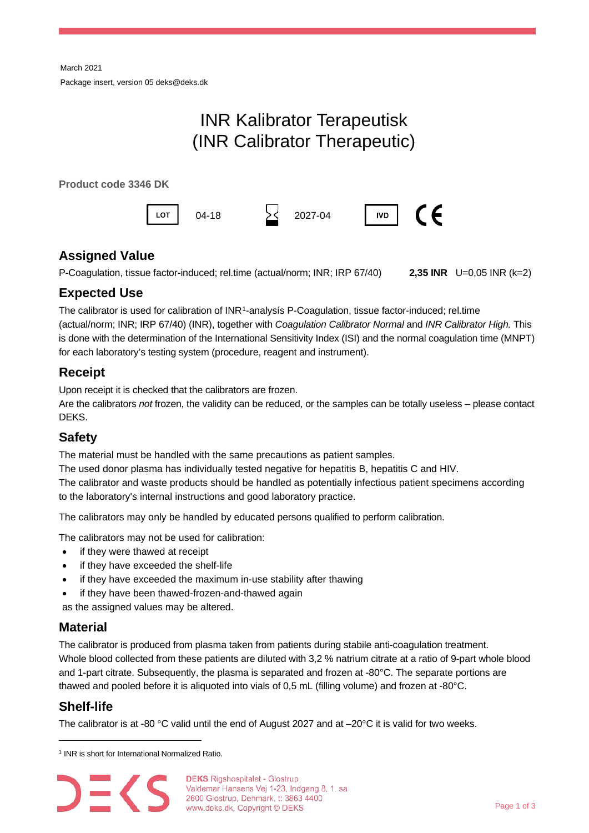# INR Kalibrator Terapeutisk (INR Calibrator Therapeutic)

**Product code 3346 DK**



# **Assigned Value**

P-Coagulation, tissue factor-induced; rel.time (actual/norm; INR; IRP 67/40) **2,35 INR** U=0,05 INR (k=2)

## **Expected Use**

The calibrator is used for calibration of INR[1-](#page-0-0)analysís P-Coagulation, tissue factor-induced; rel.time (actual/norm; INR; IRP 67/40) (INR), together with *Coagulation Calibrator Normal* and *INR Calibrator High.* This is done with the determination of the International Sensitivity Index (ISI) and the normal coagulation time (MNPT) for each laboratory's testing system (procedure, reagent and instrument).

# **Receipt**

Upon receipt it is checked that the calibrators are frozen.

Are the calibrators *not* frozen, the validity can be reduced, or the samples can be totally useless – please contact DEKS.

# **Safety**

The material must be handled with the same precautions as patient samples.

The used donor plasma has individually tested negative for hepatitis B, hepatitis C and HIV.

The calibrator and waste products should be handled as potentially infectious patient specimens according to the laboratory's internal instructions and good laboratory practice.

The calibrators may only be handled by educated persons qualified to perform calibration.

The calibrators may not be used for calibration:

- if they were thawed at receipt
- if they have exceeded the shelf-life
- if they have exceeded the maximum in-use stability after thawing
- if they have been thawed-frozen-and-thawed again

as the assigned values may be altered.

### **Material**

The calibrator is produced from plasma taken from patients during stabile anti-coagulation treatment. Whole blood collected from these patients are diluted with 3,2 % natrium citrate at a ratio of 9-part whole blood and 1-part citrate. Subsequently, the plasma is separated and frozen at -80°C. The separate portions are thawed and pooled before it is aliquoted into vials of 0,5 mL (filling volume) and frozen at -80°C.

### **Shelf-life**

The calibrator is at -80 °C valid until the end of August 2027 and at  $-20^{\circ}$ C it is valid for two weeks.

<span id="page-0-0"></span><sup>&</sup>lt;sup>1</sup> INR is short for International Normalized Ratio.



**DEKS** Rigshospitalet - Glostrup Valdemar Hansens Vej 1-23, Indgang 8, 1. sal 2600 Glostrup, Denmark, t: 3863 4400 www.deks.dk, Copyright © DEKS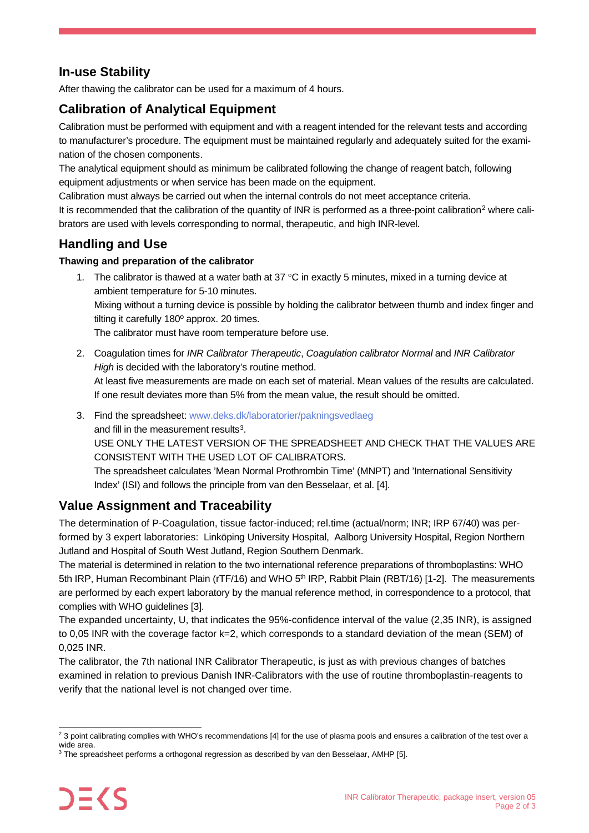# **In-use Stability**

After thawing the calibrator can be used for a maximum of 4 hours.

# **Calibration of Analytical Equipment**

Calibration must be performed with equipment and with a reagent intended for the relevant tests and according to manufacturer's procedure. The equipment must be maintained regularly and adequately suited for the examination of the chosen components.

The analytical equipment should as minimum be calibrated following the change of reagent batch, following equipment adjustments or when service has been made on the equipment.

Calibration must always be carried out when the internal controls do not meet acceptance criteria.

It is recommended that the calibration of the quantity of INR is performed as a three-point calibration<sup>[2](#page-1-0)</sup> where calibrators are used with levels corresponding to normal, therapeutic, and high INR-level.

#### **Handling and Use**

#### **Thawing and preparation of the calibrator**

- 1. The calibrator is thawed at a water bath at  $37^{\circ}$ C in exactly 5 minutes, mixed in a turning device at ambient temperature for 5-10 minutes. Mixing without a turning device is possible by holding the calibrator between thumb and index finger and tilting it carefully 180º approx. 20 times. The calibrator must have room temperature before use.
- 2. Coagulation times for *INR Calibrator Therapeutic*, *Coagulation calibrator Normal* and *INR Calibrator High* is decided with the laboratory's routine method. At least five measurements are made on each set of material. Mean values of the results are calculated. If one result deviates more than 5% from the mean value, the result should be omitted.
- 3. Find the spreadsheet[: www.deks.dk/laboratorier/pakningsvedlaeg](http://www.deks.dk/laboratorier/pakningsvedlaeg) and fill in the measurement results<sup>[3](#page-1-1)</sup>. USE ONLY THE LATEST VERSION OF THE SPREADSHEET AND CHECK THAT THE VALUES ARE CONSISTENT WITH THE USED LOT OF CALIBRATORS. The spreadsheet calculates 'Mean Normal Prothrombin Time' (MNPT) and 'International Sensitivity Index' (ISI) and follows the principle from van den Besselaar, et al. [4].

### **Value Assignment and Traceability**

The determination of P-Coagulation, tissue factor-induced; rel.time (actual/norm; INR; IRP 67/40) was performed by 3 expert laboratories: Linköping University Hospital, Aalborg University Hospital, Region Northern Jutland and Hospital of South West Jutland, Region Southern Denmark.

The material is determined in relation to the two international reference preparations of thromboplastins: WHO 5th IRP, Human Recombinant Plain (rTF/16) and WHO 5<sup>th</sup> IRP, Rabbit Plain (RBT/16) [1-2]. The measurements are performed by each expert laboratory by the manual reference method, in correspondence to a protocol, that complies with WHO guidelines [3].

The expanded uncertainty, U, that indicates the 95%-confidence interval of the value (2,35 INR), is assigned to 0,05 INR with the coverage factor k=2, which corresponds to a standard deviation of the mean (SEM) of 0,025 INR.

The calibrator, the 7th national INR Calibrator Therapeutic, is just as with previous changes of batches examined in relation to previous Danish INR-Calibrators with the use of routine thromboplastin-reagents to verify that the national level is not changed over time.

<span id="page-1-0"></span><sup>&</sup>lt;sup>2</sup> 3 point calibrating complies with WHO's recommendations [4] for the use of plasma pools and ensures a calibration of the test over a wide area.

<span id="page-1-1"></span><sup>&</sup>lt;sup>3</sup> The spreadsheet performs a orthogonal regression as described by van den Besselaar, AMHP [5].